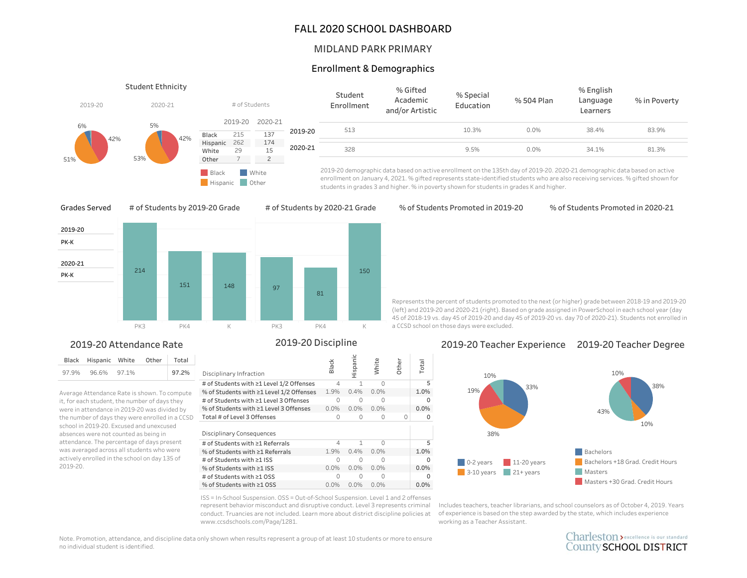### FALL 2020 SCHOOL DASHBOARD

#### MIDLAND PARK PRIMARY

## Enrollment&Demographics

| 2019-20   | <b>Student Ethnicity</b><br># of Students<br>2020-21 |                |                                            |                |         | Student<br>Enrollment | % Gifted<br>Academic<br>and/or Artistic                                                                                   | % Special<br>Education | % 504 Plan | % English<br>Language<br>Learners | % in Poverty |
|-----------|------------------------------------------------------|----------------|--------------------------------------------|----------------|---------|-----------------------|---------------------------------------------------------------------------------------------------------------------------|------------------------|------------|-----------------------------------|--------------|
| 6%<br>42% | 5%<br>42%                                            | Black          | 2019-20<br>215                             | 2020-21<br>137 | 2019-20 | 513                   |                                                                                                                           | 10.3%                  | 0.0%       | 38.4%                             | 83.9%        |
| 51%       | 53%                                                  | White<br>Other | 174<br>Hispanic 262<br>2020-21<br>15<br>29 |                | 328     |                       | 9.5%                                                                                                                      | 0.0%                   | 34.1%      | 81.3%                             |              |
|           |                                                      | Black          |                                            | White          |         |                       | 2019-20 demographic data based on active enrollment on the 135th day of 2019-20. 2020-21 demographic data based on active |                        |            |                                   |              |

2019-20 demographic data based on active enrollment on the 135th day of 2019-20. 2020-21 demographic data based on active enrollment on January 4, 2021. % gifted represents state-identified students who are also receiving services. % gifted shown for students in grades 3 and higher. % in poverty shown for students in grades K and higher.

Grades Served

# of Students by 2019-20 Grade



Hispanic Other

## 2019-20 Attendance Rate

|       | Black Hispanic White Other |  | Total |
|-------|----------------------------|--|-------|
| 97.9% | 96.6% 97.1%                |  | 97.2% |

Average Attendance Rate is shown. To compute it, for each student, the number of days they were in attendance in 2019-20 was divided by the number of days they were enrolled in a CCSD school in 2019-20. Excused and unexcused absences were not counted as being in attendance. The percentage of days present was averaged across all students who were actively enrolled in the school on day 135 of 2019-20.

2019-20 Discipline

| Disciplinary Infraction                  | Black   | dispanic | White   | <b>Other</b> | Total   |
|------------------------------------------|---------|----------|---------|--------------|---------|
| # of Students with ≥1 Level 1/2 Offenses | 4       | 1        | U       |              | 5       |
| % of Students with ≥1 Level 1/2 Offenses | 1.9%    | 0.4%     | 0.0%    |              | 1.0%    |
| # of Students with ≥1 Level 3 Offenses   | Ω       | Ω        | n       |              | U       |
| % of Students with ≥1 Level 3 Offenses   | 0.0%    | $0.0\%$  | 0.0%    |              | 0.0%    |
| Total # of Level 3 Offenses              | 0       | 0        | O       | U            | U       |
| Disciplinary Consequences                |         |          |         |              |         |
| # of Students with ≥1 Referrals          | 4       | 1        | ∩       |              | 5       |
| % of Students with ≥1 Referrals          | 1.9%    | 0.4%     | $0.0\%$ |              | 1.0%    |
| # of Students with ≥1 ISS                | Ω       | Λ        | U       |              | U       |
| % of Students with ≥1 ISS                | $0.0\%$ | $0.0\%$  | $0.0\%$ |              | $0.0\%$ |
| # of Students with ≥1 OSS                | ∩       | Λ        | ∩       |              | U       |
| % of Students with ≥1 OSS                | $0.0\%$ | $0.0\%$  | $0.0\%$ |              | $0.0\%$ |

ISS = In-School Suspension. OSS = Out-of-School Suspension. Level 1 and 2 offenses represent behavior misconduct and disruptive conduct. Level 3 represents criminal conduct. Truancies are not included. Learn more about district discipline policies at www.ccsdschools.com/Page/1281.

#### % of Students Promoted in 2019-20

% of Students Promoted in 2020-21

Represents the percent of students promoted to the next (or higher) grade between 2018-19 and 2019-20 (left) and 2019-20 and 2020-21 (right). Based on grade assigned in PowerSchool in each school year (day 45of2018-19vs.day45of2019-20andday45of2019-20vs.day70of2020-21).Studentsnotenrolledin a CCSD school on those days were excluded.

#### 2019-20TeacherExperience 2019-20TeacherDegree



Includes teachers, teacher librarians, and school counselors as of October 4, 2019. Years of experience is based on the step awarded by the state, which includes experience working as a Teacher Assistant.

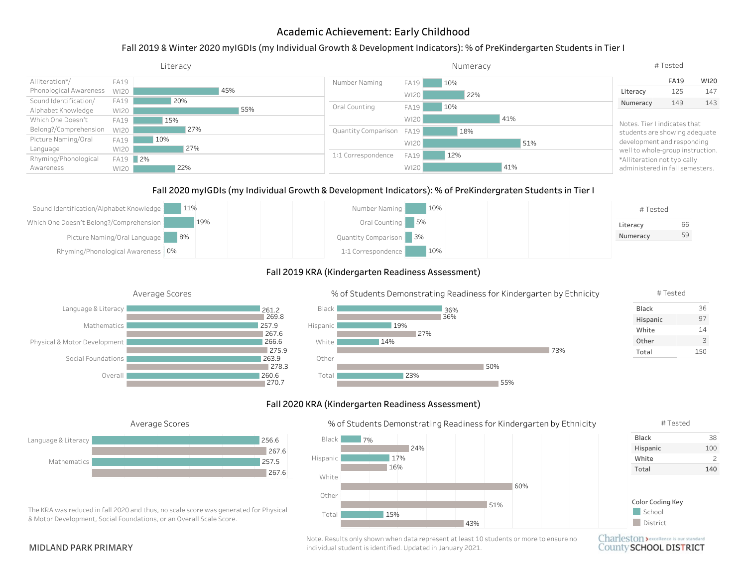# Academic Achievement: Early Childhood

## Fall 2019 & Winter 2020 myIGDIs (my Individual Growth & Development Indicators): % of PreKindergarten Students in Tier I

|                        |             | Literacy   |                          |             | Numeracy |                                  | #Tested     |      |
|------------------------|-------------|------------|--------------------------|-------------|----------|----------------------------------|-------------|------|
| Alliteration*/         | <b>FA19</b> |            | Number Naming            | <b>FA19</b> | 10%      |                                  | <b>FA19</b> | WI20 |
| Phonological Awareness | WI20        | 45%        |                          | WI20        | 22%      | Literacy                         | 125         | 147  |
| Sound Identification/  | FA19        | 20%        |                          |             |          | Numeracy                         | 149         | 143  |
| Alphabet Knowledge     | WI20        | 55%        | Oral Counting            | FA19        | 10%      |                                  |             |      |
| Which One Doesn't      | <b>FA19</b> | 15%        |                          | WI20        | 41%      | Notes. Tier I indicates that     |             |      |
| Belong?/Comprehension  | WI20        | 27%        | Quantity Comparison FA19 |             | 18%      | students are showing adequate    |             |      |
| Picture Naming/Oral    | <b>FA19</b> | 10%        |                          | WI20        | 51%      | development and responding       |             |      |
| Language               | WI20        | 27%        |                          |             |          | well to whole-group instruction. |             |      |
| Rhyming/Phonological   | <b>FA19</b> | $\vert$ 2% | 1:1 Correspondence       | <b>FA19</b> | 12%      | *Alliteration not typically      |             |      |
| Awareness              | WI20        | 22%        |                          | WI20        | 41%      | administered in fall semesters.  |             |      |

#### Fall 2020 myIGDIs (my Individual Growth & Development Indicators): % of PreKindergraten Students in Tier I



#### Fall 2019 KRA (Kindergarten Readiness Assessment)







#### Fall 2020 KRA (Kindergarten Readiness Assessment)

23%

Total





The KRA was reduced in fall 2020 and thus, no scale score was generated for Physical & Motor Development, Social Foundations, or an Overall Scale Score.

#### % of Students Demonstrating Readiness for Kindergarten by Ethnicity

50%

55%



#### Black Hispanic White 100 38 #Tested

2

Total 140



Charleston > excellence is our standard County SCHOOL DISTRICT

Note. Results only shown when data represent at least 10 students or more to ensure no MIDLAND PARK PRIMARY **individual student is identified.** Updated in January 2021.